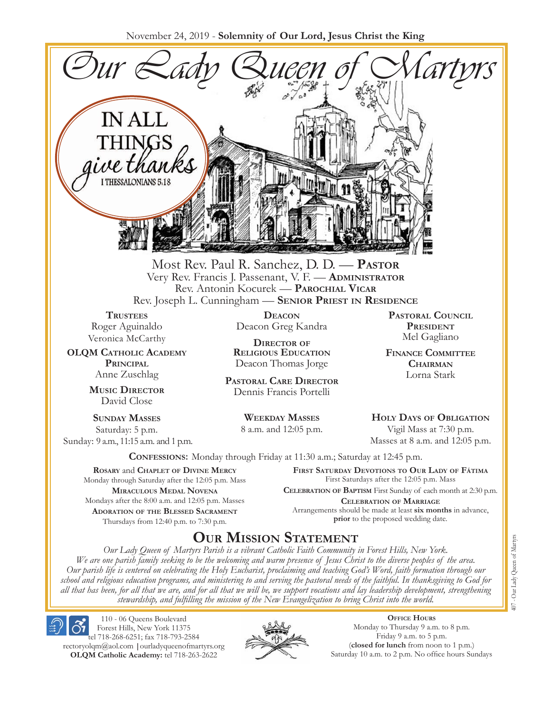November 24, 2019 - **Solemnity of Our Lord, Jesus Christ the King**



Most Rev. Paul R. Sanchez, D. D. — **Pastor** Very Rev. Francis J. Passenant, V. F. — **Administrator** Rev. Antonin Kocurek — **Parochial Vicar** Rev. Joseph L. Cunningham — **Senior Priest in Residence**

**TRUSTEES** Roger Aguinaldo Veronica McCarthy

**OLQM Catholic Academy Principal** Anne Zuschlag

> **Music Director** David Close

**Sunday Masses** Saturday: 5 p.m. Sunday: 9 a.m., 11:15 a.m. and 1 p.m.

**Deacon** Deacon Greg Kandra

**Director of Religious Education** Deacon Thomas Jorge

**Pastoral Care Director** Dennis Francis Portelli

> **Weekday Masses** 8 a.m. and 12:05 p.m.

**Pastoral Council President** Mel Gagliano

**Finance Committee Chairman** Lorna Stark

**Holy Days of Obligation** Vigil Mass at 7:30 p.m.

Masses at 8 a.m. and 12:05 p.m.

**Confessions:** Monday through Friday at 11:30 a.m.; Saturday at 12:45 p.m.

**Rosary** and **Chaplet of Divine Mercy** Monday through Saturday after the 12:05 p.m. Mass **Miraculous Medal Novena** Mondays after the 8:00 a.m. and 12:05 p.m. Masses **Adoration of the Blessed Sacrament** Thursdays from 12:40 p.m. to 7:30 p.m.

**First Saturday Devotions to Our Lady of Fátima** First Saturdays after the 12:05 p.m. Mass

**Celebration of Baptism** First Sunday of each month at 2:30 p.m. **Celebration of Marriage** Arrangements should be made at least **six months** in advance, **prior** to the proposed wedding date.

## **Our Mission Statement**

*Our Lady Queen of Martyrs Parish is a vibrant Catholic Faith Community in Forest Hills, New York. We are one parish family seeking to be the welcoming and warm presence of Jesus Christ to the diverse peoples of the area. Our parish life is centered on celebrating the Holy Eucharist, proclaiming and teaching God's Word, faith formation through our school and religious education programs, and ministering to and serving the pastoral needs of the faithful. In thanksgiving to God for all that has been, for all that we are, and for all that we will be, we support vocations and lay leadership development, strengthening stewardship, and fulfilling the mission of the New Evangelization to bring Christ into the world.*

110 - 06 Queens Boulevard Forest Hills, New York 11375 tel 718-268-6251; fax 718-793-2584 rectoryolqm@aol.com **|**ourladyqueenofmartyrs.org **OLQM Catholic Academy:** tel 718-263-2622



**Office Hours** Monday to Thursday 9 a.m. to 8 p.m. Friday 9 a.m. to 5 p.m. (**closed for lunch** from noon to 1 p.m.) Saturday 10 a.m. to 2 p.m. No office hours Sundays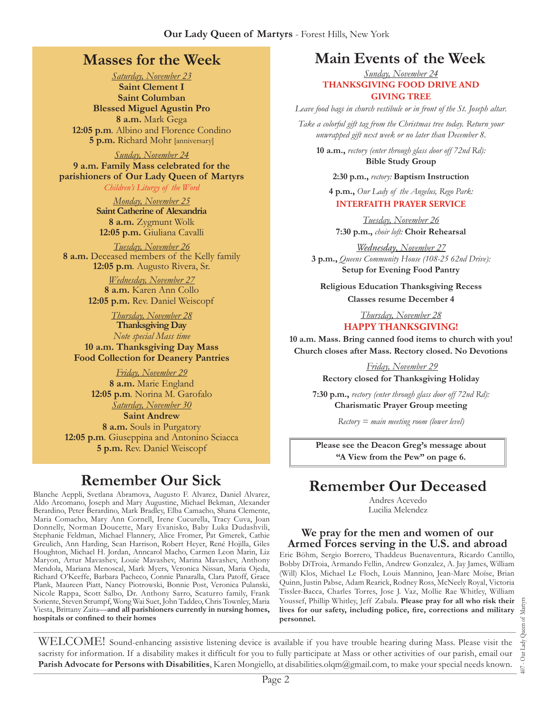## **Masses for the Week**

*Saturday, November 23* **Saint Clement I Saint Columban Blessed Miguel Agustin Pro 8 a.m.** Mark Gega **12:05 p.m***.* Albino and Florence Condino **5 p.m.** Richard Mohr [anniversary]

*Sunday, November 24* **9 a.m. Family Mass celebrated for the parishioners of Our Lady Queen of Martyrs**

*Children's Liturgy of the Word Monday, November 25* **Saint Catherine of Alexandria**

**8 a.m.** Zygmunt Wolk **12:05 p.m.** Giuliana Cavalli

*Tuesday, November 26* **8 a.m.** Deceased members of the Kelly family **12:05 p.m***.* Augusto Rivera, Sr.

> *Wednesday, November 27* **8 a.m.** Karen Ann Collo **12:05 p.m.** Rev. Daniel Weiscopf

*Thursday, November 28* **Thanksgiving Day** *Note special Mass time* **10 a.m. Thanksgiving Day Mass Food Collection for Deanery Pantries**

*Friday, November 29* **8 a.m.** Marie England **12:05 p.m***.* Norina M. Garofalo *Saturday, November 30* **Saint Andrew 8 a.m.** Souls in Purgatory **12:05 p.m***.* Giuseppina and Antonino Sciacca **5 p.m.** Rev. Daniel Weiscopf

## **Remember Our Sick**

Blanche Aeppli, Svetlana Abramova, Augusto F. Alvarez, Daniel Alvarez, Aldo Arcomano, Joseph and Mary Augustine, Michael Bekman, Alexander Berardino, Peter Berardino, Mark Bradley, Elba Camacho, Shana Clemente, Maria Comacho, Mary Ann Cornell, Irene Cucurella, Tracy Cuva, Joan Donnelly, Norman Doucette, Mary Evanisko, Baby Luka Dudashvili, Stephanie Feldman, Michael Flannery, Alice Fromer, Pat Gmerek, Cathie Greulich, Ann Harding, Sean Harrison, Robert Heyer, René Hojilla, Giles Houghton, Michael H. Jordan, Anncarol Macho, Carmen Leon Marin, Liz Maryon, Artur Mavashev, Louie Mavashev, Marina Mavashev, Anthony Mendola, Mariana Menoscal, Mark Myers, Veronica Nissan, Maria Ojeda, Richard O'Keeffe, Barbara Pacheco, Connie Panaralla, Clara Patoff, Grace Plank, Maureen Piatt, Nancy Piotrowski, Bonnie Post, Veronica Pulanski, Nicole Rappa, Scott Salbo, Dr. Anthony Sarro, Scaturro family, Frank Soriente, Steven Strumpf, Wong Wai Suet, John Taddeo, Chris Townley, Maria Viesta, Brittany Zaita—**and all parishioners currently in nursing homes, hospitals or confined to their homes**

## **Main Events of the Week**

*Sunday, November 24* **THANKSGIVING FOOD DRIVE AND GIVING TREE**

*Leave food bags in church vestibule or in front of the St. Joseph altar.* 

*Take a colorful gift tag from the Christmas tree today. Return your unwrapped gift next week or no later than December 8.* 

**10 a.m.,** *rectory (enter through glass door off 72nd Rd):* **Bible Study Group**

**2:30 p.m.,** *rectory:* **Baptism Instruction**

**4 p.m.,** *Our Lady of the Angelus, Rego Park:*  **INTERFAITH PRAYER SERVICE**

*Tuesday, November 26* **7:30 p.m.,** *choir loft:* **Choir Rehearsal**

*Wednesday, November 27* **3 p.m.,** *Queens Community House (108-25 62nd Drive):*  **Setup for Evening Food Pantry** 

**Religious Education Thanksgiving Recess**

**Classes resume December 4**

*Thursday, November 28* **HAPPY THANKSGIVING!**

**10 a.m. Mass. Bring canned food items to church with you! Church closes after Mass. Rectory closed. No Devotions**

> *Friday, November 29* **Rectory closed for Thanksgiving Holiday**

**7:30 p.m.,** *rectory (enter through glass door off 72nd Rd):* **Charismatic Prayer Group meeting**

*Rectory = main meeting room (lower level)*

**Please see the Deacon Greg's message about "A View from the Pew" on page 6.**

## **Remember Our Deceased**

Andres Acevedo Lucilia Melendez

#### **We pray for the men and women of our Armed Forces serving in the U.S. and abroad**

Eric Böhm, Sergio Borrero, Thaddeus Buenaventura, Ricardo Cantillo, Bobby DiTroia, Armando Fellin, Andrew Gonzalez, A. Jay James, William (Will) Klos, Michael Le Floch, Louis Mannino, Jean-Marc Moïse, Brian Quinn, Justin Pabse, Adam Rearick, Rodney Ross, McNeely Royal, Victoria Tissler-Bacca, Charles Torres, Jose J. Vaz, Mollie Rae Whitley, William Youssef, Phillip Whitley, Jeff Zabala. **Please pray for all who risk their lives for our safety, including police, fire, corrections and military personnel.**

407 - Our Lady Queen of Martyrs Our Lady Queen of Martyrs  $\overline{407}$  .

WELCOME! Sound-enhancing assistive listening device is available if you have trouble hearing during Mass. Please visit the sacristy for information. If a disability makes it difficult for you to fully participate at Mass or other activities of our parish, email our **Parish Advocate for Persons with Disabilities**, Karen Mongiello, at disabilities.olqm@gmail.com, to make your special needs known.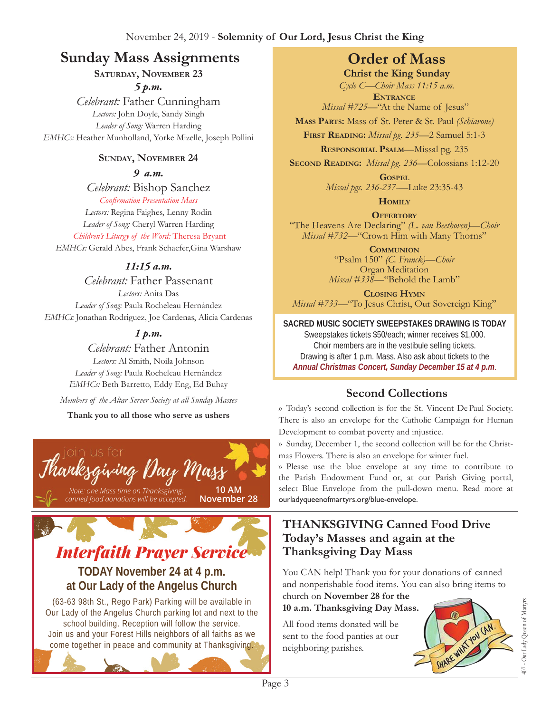## **Sunday Mass Assignments Order of Mass**

#### **Saturday, November 23** *5 p.m.*

*Celebrant:* Father Cunningham *Lectors:* John Doyle, Sandy Singh *Leader of Song:* Warren Harding *EMHCs:* Heather Munholland, Yorke Mizelle, Joseph Pollini

#### **Sunday, November 24**

*9 a.m.* 

*Celebrant:* Bishop Sanchez

*Confirmation Presentation Mass Lectors:* Regina Faighes, Lenny Rodin *Leader of Song:* Cheryl Warren Harding *Children's Liturgy of the Word:* Theresa Bryant *EMHCs:* Gerald Abes, Frank Schaefer,Gina Warshaw

#### *11:15 a.m.*

*Celebrant:* Father Passenant *Lectors:* Anita Das *Leader of Song:* Paula Rocheleau Hernández *EMHCs:* Jonathan Rodriguez, Joe Cardenas, Alicia Cardenas

### *1 p.m.*

*Celebrant:* Father Antonin *Lectors:* Al Smith, Noila Johnson

*Leader of Song:* Paula Rocheleau Hernández *EMHCs:* Beth Barretto, Eddy Eng, Ed Buhay

*Members of the Altar Server Society at all Sunday Masses*

**Thank you to all those who serve as ushers**





come together in peace and community at Thanksgiving.

**Christ the King Sunday**

*Cycle C—Choir Mass 11:15 a.m.* **Entrance** *Missal #725—*"At the Name of Jesus"

**Mass Parts:** Mass of St. Peter & St. Paul *(Schiavone)*

**First Reading:** *Missal pg. 235—*2 Samuel 5:1-3

**Responsorial Psalm**—Missal pg. 235

**Second Reading:** *Missal pg. 236—*Colossians 1:12-20

**Gospel** *Missal pgs. 236-237-—*Luke 23:35-43

**Homily**

**Offertory** "The Heavens Are Declaring" *(L. van Beethoven)—Choir Missal #732—*"Crown Him with Many Thorns"

> **Communion** "Psalm 150" *(C. Franck)—Choir*  Organ Meditation *Missal #338—*"Behold the Lamb"

**Closing Hymn** *Missal #733—*"To Jesus Christ, Our Sovereign King"

## **SACRED MUSIC SOCIETY SWEEPSTAKES DRAWING IS TODAY**

Sweepstakes tickets \$50/each; winner receives \$1,000. Choir members are in the vestibule selling tickets. Drawing is after 1 p.m. Mass. Also ask about tickets to the *Annual Christmas Concert, Sunday December 15 at 4 p.m*.

## **Second Collections**

›› Today's second collection is for the St. Vincent De Paul Society. There is also an envelope for the Catholic Campaign for Human Development to combat poverty and injustice.

›› Sunday, December 1, the second collection will be for the Christmas Flowers. There is also an envelope for winter fuel.

›› Please use the blue envelope at any time to contribute to the Parish Endowment Fund or, at our Parish Giving portal, select Blue Envelope from the pull-down menu. Read more at ourladyqueenofmartyrs.org/blue-envelope.

### **THANKSGIVING Canned Food Drive Today's Masses and again at the Thanksgiving Day Mass**

You CAN help! Thank you for your donations of canned and nonperishable food items. You can also bring items to

church on **November 28 for the 10 a.m. Thanksgiving Day Mass.** 

All food items donated will be sent to the food panties at our neighboring parishes.

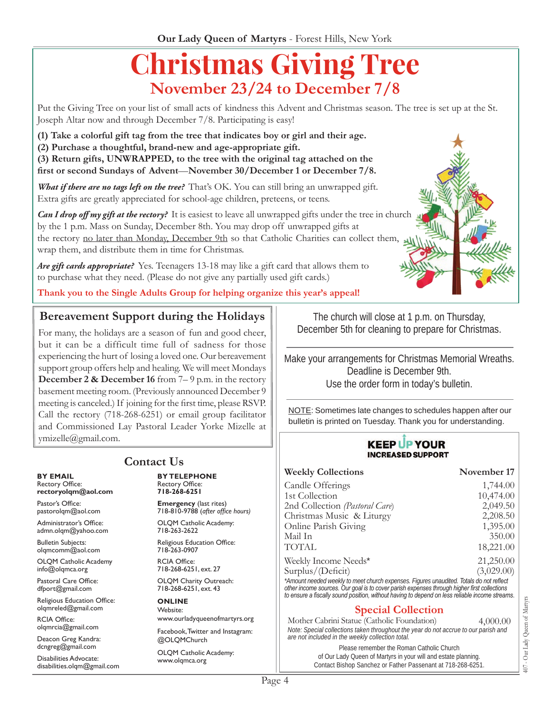# **Christmas Giving Tree November 23/24 to December 7/8**

Put the Giving Tree on your list of small acts of kindness this Advent and Christmas season. The tree is set up at the St. Joseph Altar now and through December 7/8. Participating is easy!

**(1) Take a colorful gift tag from the tree that indicates boy or girl and their age.** 

**(2) Purchase a thoughtful, brand-new and age-appropriate gift.** 

**(3) Return gifts, UNWRAPPED, to the tree with the original tag attached on the first or second Sundays of Advent**—**November 30/December 1 or December 7/8.** 

*What if there are no tags left on the tree?* That's OK. You can still bring an unwrapped gift. Extra gifts are greatly appreciated for school-age children, preteens, or teens.

*Can I drop off my gift at the rectory?* It is easiest to leave all unwrapped gifts under the tree in church by the 1 p.m. Mass on Sunday, December 8th. You may drop off unwrapped gifts at the rectory no later than Monday, December 9th so that Catholic Charities can collect them, wrap them, and distribute them in time for Christmas.

*Are gift cards appropriate?* Yes. Teenagers 13-18 may like a gift card that allows them to to purchase what they need. (Please do not give any partially used gift cards.)

**Thank you to the Single Adults Group for helping organize this year's appeal!**

#### **Bereavement Support during the Holidays**

For many, the holidays are a season of fun and good cheer, but it can be a difficult time full of sadness for those experiencing the hurt of losing a loved one. Our bereavement support group offers help and healing. We will meet Mondays **December 2 & December 16** from 7–9 p.m. in the rectory basement meeting room. (Previously announced December 9 meeting is canceled.) If joining for the first time, please RSVP. Call the rectory (718-268-6251) or email group facilitator and Commissioned Lay Pastoral Leader Yorke Mizelle at ymizelle@gmail.com.

**BY EMAIL** Rectory Office: **rectoryolqm@aol.com**

Pastor's Office: pastorolqm@aol.com

Administrator's Office: admn.olqm@yahoo.com

Bulletin Subjects: olqmcomm@aol.com

OLQM Catholic Academy info@olqmca.org

Pastoral Care Office: dfport@gmail.com

Religious Education Office: olqmreled@gmail.com

RCIA Office: olqmrcia@gmail.com

Deacon Greg Kandra: dcngreg@gmail.com

Disabilities Advocate: disabilities.olqm@gmail.com

## **Contact Us**

**BY TELEPHONE** Rectory Office: **718-268-6251**

**Emergency** (last rites) 718-810-9788 (*after office hours)* OLQM Catholic Academy: 718-263-2622

Religious Education Office: 718-263-0907

RCIA Office: 718-268-6251, ext. 27

OLQM Charity Outreach: 718-268-6251, ext. 43

**ONLINE** Website: www.ourladyqueenofmartyrs.org

Facebook, Twitter and Instagram: @OLQMChurch

OLQM Catholic Academy: www.olqmca.org

The church will close at 1 p.m. on Thursday, December 5th for cleaning to prepare for Christmas.

Make your arrangements for Christmas Memorial Wreaths. Deadline is December 9th. Use the order form in today's bulletin.

NOTE: Sometimes late changes to schedules happen after our bulletin is printed on Tuesday. Thank you for understanding.

#### **KEEP UP YOUR INCREASED SUPPORT**

| <b>Weekly Collections</b>                                                               | November 17 |
|-----------------------------------------------------------------------------------------|-------------|
| Candle Offerings                                                                        | 1,744.00    |
| 1st Collection                                                                          | 10,474.00   |
| 2nd Collection (Pastoral Care)                                                          | 2,049.50    |
| Christmas Music & Liturgy                                                               | 2,208.50    |
| Online Parish Giving                                                                    | 1,395.00    |
| Mail In                                                                                 | 350.00      |
| <b>TOTAL</b>                                                                            | 18,221.00   |
| Weekly Income Needs*                                                                    | 21,250.00   |
| Surplus/(Deficit)                                                                       | (3,029.00)  |
| *Amount needed weekly to meet church expenses. Figures unaudited. Totals do not reflect |             |

*other income sources. Our goal is to cover parish expenses through higher first collections to ensure a fiscally sound position, without having to depend on less reliable income streams*.

#### **Special Collection**

Mother Cabrini Statue (Catholic Foundation) 4,000.00 *Note: Special collections taken throughout the year do not accrue to our parish and are not included in the weekly collection total.*

> Please remember the Roman Catholic Church of Our Lady Queen of Martyrs in your will and estate planning. Contact Bishop Sanchez or Father Passenant at 718-268-6251.

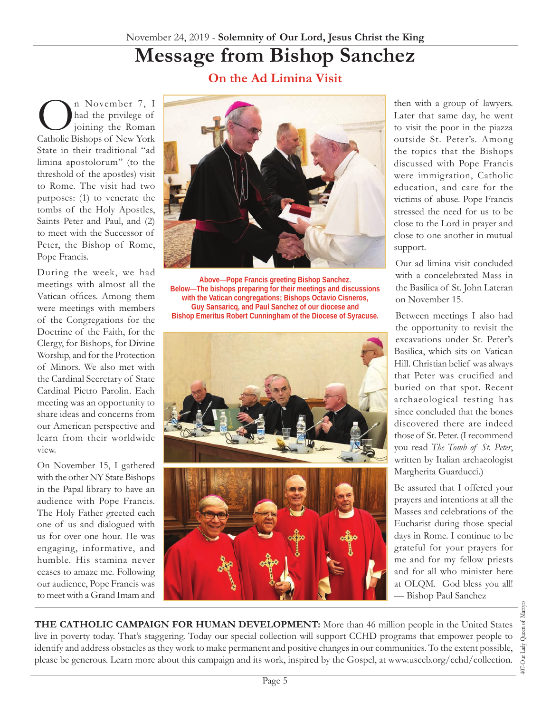# **Message from Bishop Sanchez**

**On the Ad Limina Visit**

n November 7, I had the privilege of joining the Roman Catholic Bishops of New York State in their traditional "ad limina apostolorum" (to the threshold of the apostles) visit to Rome. The visit had two purposes: (1) to venerate the tombs of the Holy Apostles, Saints Peter and Paul, and (2) to meet with the Successor of Peter, the Bishop of Rome, Pope Francis.

During the week, we had meetings with almost all the Vatican offices. Among them were meetings with members of the Congregations for the Doctrine of the Faith, for the Clergy, for Bishops, for Divine Worship, and for the Protection of Minors. We also met with the Cardinal Secretary of State Cardinal Pietro Parolin. Each meeting was an opportunity to share ideas and concerns from our American perspective and learn from their worldwide view.

On November 15, I gathered with the other NY State Bishops in the Papal library to have an audience with Pope Francis. The Holy Father greeted each one of us and dialogued with us for over one hour. He was engaging, informative, and humble. His stamina never ceases to amaze me. Following our audience, Pope Francis was to meet with a Grand Imam and



**Above**—**Pope Francis greeting Bishop Sanchez. Below**—**The bishops preparing for their meetings and discussions with the Vatican congregations; Bishops Octavio Cisneros, Guy Sansaricq, and Paul Sanchez of our diocese and Bishop Emeritus Robert Cunningham of the Diocese of Syracuse.**





then with a group of lawyers. Later that same day, he went to visit the poor in the piazza outside St. Peter's. Among the topics that the Bishops discussed with Pope Francis were immigration, Catholic education, and care for the victims of abuse. Pope Francis stressed the need for us to be close to the Lord in prayer and close to one another in mutual support.

Our ad limina visit concluded with a concelebrated Mass in the Basilica of St. John Lateran on November 15.

Between meetings I also had the opportunity to revisit the excavations under St. Peter's Basilica, which sits on Vatican Hill. Christian belief was always that Peter was crucified and buried on that spot. Recent archaeological testing has since concluded that the bones discovered there are indeed those of St. Peter. (I recommend you read *The Tomb of St. Peter*, written by Italian archaeologist Margherita Guarducci.)

Be assured that I offered your prayers and intentions at all the Masses and celebrations of the Eucharist during those special days in Rome. I continue to be grateful for your prayers for me and for my fellow priests and for all who minister here at OLQM. God bless you all! — Bishop Paul Sanchez

**THE CATHOLIC CAMPAIGN FOR HUMAN DEVELOPMENT:** More than 46 million people in the United States live in poverty today. That's staggering. Today our special collection will support CCHD programs that empower people to identify and address obstacles as they work to make permanent and positive changes in our communities. To the extent possible, please be generous. Learn more about this campaign and its work, inspired by the Gospel, at www.usccb.org/cchd/collection.